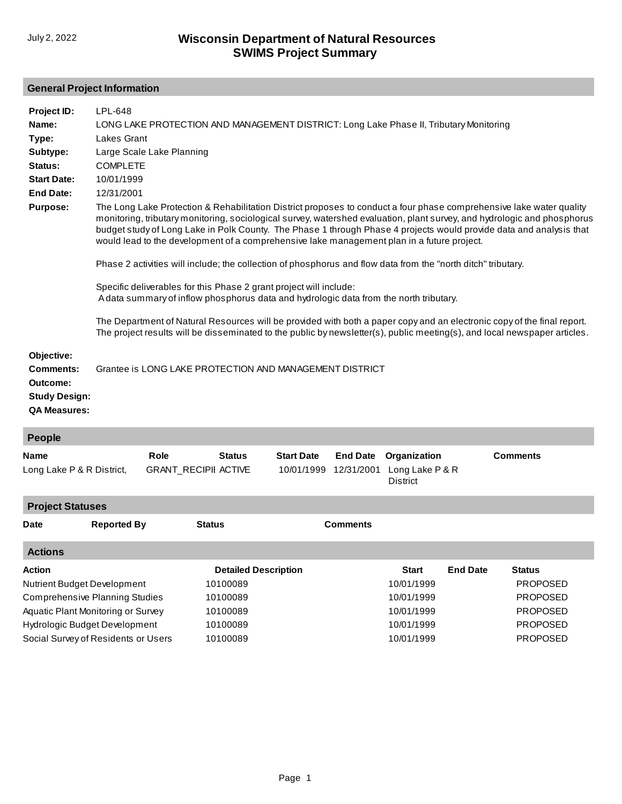## **General Project Information**

| Objective:<br><b>Comments:</b><br>Grantee is LONG LAKE PROTECTION AND MANAGEMENT DISTRICT<br>Outcome:<br><b>Study Design:</b><br><b>QA Measures:</b><br>People<br><b>Comments</b><br>Role<br><b>Status</b><br><b>Start Date</b><br><b>End Date</b><br>Organization<br><b>GRANT_RECIPII ACTIVE</b><br>10/01/1999<br>12/31/2001<br>Long Lake P & R<br>Long Lake P & R District,<br><b>District</b><br><b>Project Statuses</b> | Project ID:<br>Name:<br>Type:<br>Subtype:<br>Status:<br><b>Start Date:</b><br><b>End Date:</b><br><b>Purpose:</b> | LPL-648<br>LONG LAKE PROTECTION AND MANAGEMENT DISTRICT: Long Lake Phase II, Tributary Monitoring<br>Lakes Grant<br>Large Scale Lake Planning<br><b>COMPLETE</b><br>10/01/1999<br>12/31/2001<br>The Long Lake Protection & Rehabilitation District proposes to conduct a four phase comprehensive lake water quality<br>monitoring, tributary monitoring, sociological survey, watershed evaluation, plant survey, and hydrologic and phosphorus<br>budget study of Long Lake in Polk County. The Phase 1 through Phase 4 projects would provide data and analysis that<br>would lead to the development of a comprehensive lake management plan in a future project.<br>Phase 2 activities will include; the collection of phosphorus and flow data from the "north ditch" tributary.<br>Specific deliverables for this Phase 2 grant project will include:<br>A data summary of inflow phosphorus data and hydrologic data from the north tributary.<br>The Department of Natural Resources will be provided with both a paper copy and an electronic copy of the final report.<br>The project results will be disseminated to the public by newsletter(s), public meeting(s), and local newspaper articles. |  |  |  |  |  |  |
|-----------------------------------------------------------------------------------------------------------------------------------------------------------------------------------------------------------------------------------------------------------------------------------------------------------------------------------------------------------------------------------------------------------------------------|-------------------------------------------------------------------------------------------------------------------|----------------------------------------------------------------------------------------------------------------------------------------------------------------------------------------------------------------------------------------------------------------------------------------------------------------------------------------------------------------------------------------------------------------------------------------------------------------------------------------------------------------------------------------------------------------------------------------------------------------------------------------------------------------------------------------------------------------------------------------------------------------------------------------------------------------------------------------------------------------------------------------------------------------------------------------------------------------------------------------------------------------------------------------------------------------------------------------------------------------------------------------------------------------------------------------------------------------|--|--|--|--|--|--|
|                                                                                                                                                                                                                                                                                                                                                                                                                             |                                                                                                                   |                                                                                                                                                                                                                                                                                                                                                                                                                                                                                                                                                                                                                                                                                                                                                                                                                                                                                                                                                                                                                                                                                                                                                                                                                |  |  |  |  |  |  |
|                                                                                                                                                                                                                                                                                                                                                                                                                             |                                                                                                                   |                                                                                                                                                                                                                                                                                                                                                                                                                                                                                                                                                                                                                                                                                                                                                                                                                                                                                                                                                                                                                                                                                                                                                                                                                |  |  |  |  |  |  |
|                                                                                                                                                                                                                                                                                                                                                                                                                             | Name                                                                                                              |                                                                                                                                                                                                                                                                                                                                                                                                                                                                                                                                                                                                                                                                                                                                                                                                                                                                                                                                                                                                                                                                                                                                                                                                                |  |  |  |  |  |  |
|                                                                                                                                                                                                                                                                                                                                                                                                                             |                                                                                                                   |                                                                                                                                                                                                                                                                                                                                                                                                                                                                                                                                                                                                                                                                                                                                                                                                                                                                                                                                                                                                                                                                                                                                                                                                                |  |  |  |  |  |  |

| Date           | <b>Reported By</b>                    | <b>Status</b>               | Comments |              |                 |                 |
|----------------|---------------------------------------|-----------------------------|----------|--------------|-----------------|-----------------|
| <b>Actions</b> |                                       |                             |          |              |                 |                 |
| Action         |                                       | <b>Detailed Description</b> |          | <b>Start</b> | <b>End Date</b> | <b>Status</b>   |
|                | Nutrient Budget Development           | 10100089                    |          | 10/01/1999   |                 | <b>PROPOSED</b> |
|                | <b>Comprehensive Planning Studies</b> | 10100089                    |          | 10/01/1999   |                 | <b>PROPOSED</b> |
|                | Aquatic Plant Monitoring or Survey    | 10100089                    |          | 10/01/1999   |                 | <b>PROPOSED</b> |
|                | <b>Hydrologic Budget Development</b>  | 10100089                    |          | 10/01/1999   |                 | <b>PROPOSED</b> |
|                | Social Survey of Residents or Users   | 10100089                    |          | 10/01/1999   |                 | <b>PROPOSED</b> |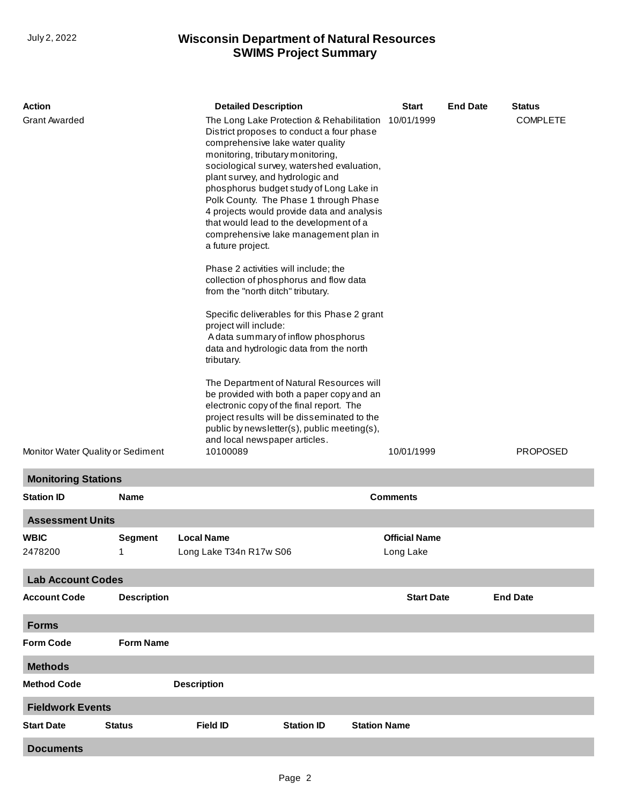## **SWIMS Project Summary** July 2, 2022 **Wisconsin Department of Natural Resources**

| <b>Action</b>                     |                    | <b>Detailed Description</b>                                                                                                                                                                                                                                                                                                                                                                                                                                                                                                                                                                                                                                                                                                                                                                                                                                                                                                                                                                                                      |                                          | <b>Start</b>                      | <b>End Date</b> | <b>Status</b>   |
|-----------------------------------|--------------------|----------------------------------------------------------------------------------------------------------------------------------------------------------------------------------------------------------------------------------------------------------------------------------------------------------------------------------------------------------------------------------------------------------------------------------------------------------------------------------------------------------------------------------------------------------------------------------------------------------------------------------------------------------------------------------------------------------------------------------------------------------------------------------------------------------------------------------------------------------------------------------------------------------------------------------------------------------------------------------------------------------------------------------|------------------------------------------|-----------------------------------|-----------------|-----------------|
| <b>Grant Awarded</b>              |                    | The Long Lake Protection & Rehabilitation<br>District proposes to conduct a four phase<br>comprehensive lake water quality<br>monitoring, tributary monitoring,<br>sociological survey, watershed evaluation,<br>plant survey, and hydrologic and<br>phosphorus budget study of Long Lake in<br>Polk County. The Phase 1 through Phase<br>4 projects would provide data and analysis<br>that would lead to the development of a<br>comprehensive lake management plan in<br>a future project.<br>Phase 2 activities will include; the<br>collection of phosphorus and flow data<br>from the "north ditch" tributary.<br>Specific deliverables for this Phase 2 grant<br>project will include:<br>A data summary of inflow phosphorus<br>data and hydrologic data from the north<br>tributary.<br>The Department of Natural Resources will<br>be provided with both a paper copy and an<br>electronic copy of the final report. The<br>project results will be disseminated to the<br>public by newsletter(s), public meeting(s), | 10/01/1999                               |                                   | <b>COMPLETE</b> |                 |
| Monitor Water Quality or Sediment |                    | and local newspaper articles.<br>10100089                                                                                                                                                                                                                                                                                                                                                                                                                                                                                                                                                                                                                                                                                                                                                                                                                                                                                                                                                                                        | 10/01/1999                               |                                   | <b>PROPOSED</b> |                 |
| <b>Monitoring Stations</b>        |                    |                                                                                                                                                                                                                                                                                                                                                                                                                                                                                                                                                                                                                                                                                                                                                                                                                                                                                                                                                                                                                                  |                                          |                                   |                 |                 |
| <b>Station ID</b>                 | <b>Name</b>        |                                                                                                                                                                                                                                                                                                                                                                                                                                                                                                                                                                                                                                                                                                                                                                                                                                                                                                                                                                                                                                  |                                          | <b>Comments</b>                   |                 |                 |
| <b>Assessment Units</b>           |                    |                                                                                                                                                                                                                                                                                                                                                                                                                                                                                                                                                                                                                                                                                                                                                                                                                                                                                                                                                                                                                                  |                                          |                                   |                 |                 |
| <b>WBIC</b><br>2478200            | Segment            | <b>Local Name</b><br>Long Lake T34n R17w S06                                                                                                                                                                                                                                                                                                                                                                                                                                                                                                                                                                                                                                                                                                                                                                                                                                                                                                                                                                                     |                                          | <b>Official Name</b><br>Long Lake |                 |                 |
| <b>Lab Account Codes</b>          |                    |                                                                                                                                                                                                                                                                                                                                                                                                                                                                                                                                                                                                                                                                                                                                                                                                                                                                                                                                                                                                                                  |                                          |                                   |                 |                 |
| <b>Account Code</b>               | <b>Description</b> |                                                                                                                                                                                                                                                                                                                                                                                                                                                                                                                                                                                                                                                                                                                                                                                                                                                                                                                                                                                                                                  |                                          | <b>Start Date</b>                 |                 | <b>End Date</b> |
| <b>Forms</b>                      |                    |                                                                                                                                                                                                                                                                                                                                                                                                                                                                                                                                                                                                                                                                                                                                                                                                                                                                                                                                                                                                                                  |                                          |                                   |                 |                 |
| <b>Form Code</b>                  | <b>Form Name</b>   |                                                                                                                                                                                                                                                                                                                                                                                                                                                                                                                                                                                                                                                                                                                                                                                                                                                                                                                                                                                                                                  |                                          |                                   |                 |                 |
| <b>Methods</b>                    |                    |                                                                                                                                                                                                                                                                                                                                                                                                                                                                                                                                                                                                                                                                                                                                                                                                                                                                                                                                                                                                                                  |                                          |                                   |                 |                 |
| <b>Method Code</b>                |                    | <b>Description</b>                                                                                                                                                                                                                                                                                                                                                                                                                                                                                                                                                                                                                                                                                                                                                                                                                                                                                                                                                                                                               |                                          |                                   |                 |                 |
| <b>Fieldwork Events</b>           |                    |                                                                                                                                                                                                                                                                                                                                                                                                                                                                                                                                                                                                                                                                                                                                                                                                                                                                                                                                                                                                                                  |                                          |                                   |                 |                 |
| <b>Start Date</b>                 | <b>Status</b>      | <b>Field ID</b>                                                                                                                                                                                                                                                                                                                                                                                                                                                                                                                                                                                                                                                                                                                                                                                                                                                                                                                                                                                                                  | <b>Station ID</b><br><b>Station Name</b> |                                   |                 |                 |
| <b>Documents</b>                  |                    |                                                                                                                                                                                                                                                                                                                                                                                                                                                                                                                                                                                                                                                                                                                                                                                                                                                                                                                                                                                                                                  |                                          |                                   |                 |                 |